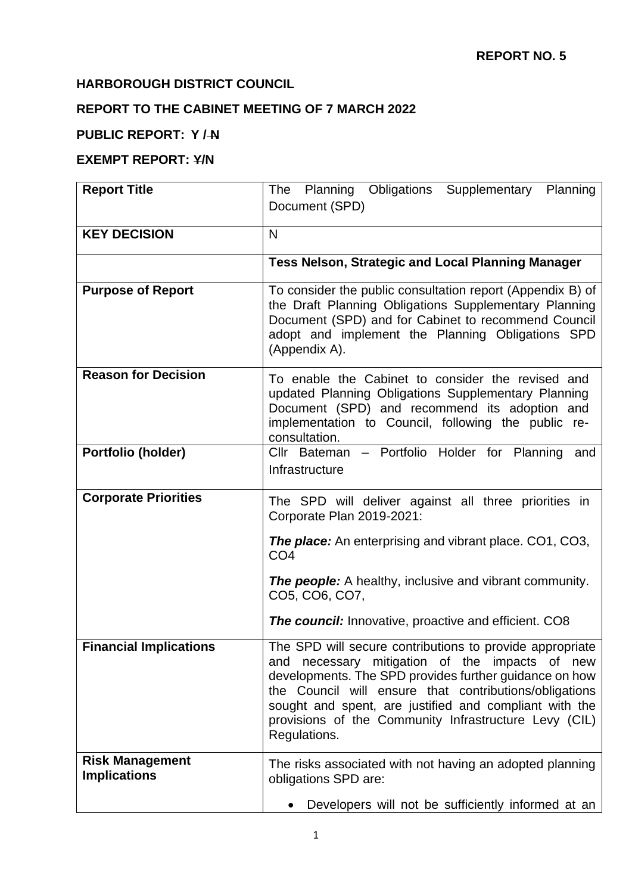# **HARBOROUGH DISTRICT COUNCIL**

# **REPORT TO THE CABINET MEETING OF 7 MARCH 2022**

## **PUBLIC REPORT: Y / N**

#### **EXEMPT REPORT: Y/N**

| <b>Report Title</b>                           | Planning Obligations Supplementary<br>Planning<br>The<br>Document (SPD)                                                                                                                                                                                                                                                                                           |
|-----------------------------------------------|-------------------------------------------------------------------------------------------------------------------------------------------------------------------------------------------------------------------------------------------------------------------------------------------------------------------------------------------------------------------|
| <b>KEY DECISION</b>                           | N                                                                                                                                                                                                                                                                                                                                                                 |
|                                               | Tess Nelson, Strategic and Local Planning Manager                                                                                                                                                                                                                                                                                                                 |
| <b>Purpose of Report</b>                      | To consider the public consultation report (Appendix B) of<br>the Draft Planning Obligations Supplementary Planning<br>Document (SPD) and for Cabinet to recommend Council<br>adopt and implement the Planning Obligations SPD<br>(Appendix A).                                                                                                                   |
| <b>Reason for Decision</b>                    | To enable the Cabinet to consider the revised and<br>updated Planning Obligations Supplementary Planning<br>Document (SPD) and recommend its adoption and<br>implementation to Council, following the public re-<br>consultation.                                                                                                                                 |
| Portfolio (holder)                            | Cllr Bateman - Portfolio Holder for Planning and<br>Infrastructure                                                                                                                                                                                                                                                                                                |
| <b>Corporate Priorities</b>                   | The SPD will deliver against all three priorities in<br>Corporate Plan 2019-2021:<br><b>The place:</b> An enterprising and vibrant place. CO1, CO3,                                                                                                                                                                                                               |
|                                               | CO <sub>4</sub><br><b>The people:</b> A healthy, inclusive and vibrant community.<br>CO5, CO6, CO7,                                                                                                                                                                                                                                                               |
|                                               | <b>The council:</b> Innovative, proactive and efficient. CO8                                                                                                                                                                                                                                                                                                      |
| <b>Financial Implications</b>                 | The SPD will secure contributions to provide appropriate<br>and necessary mitigation of the impacts of new<br>developments. The SPD provides further guidance on how<br>the Council will ensure that contributions/obligations<br>sought and spent, are justified and compliant with the<br>provisions of the Community Infrastructure Levy (CIL)<br>Regulations. |
| <b>Risk Management</b><br><b>Implications</b> | The risks associated with not having an adopted planning<br>obligations SPD are:                                                                                                                                                                                                                                                                                  |
|                                               | Developers will not be sufficiently informed at an                                                                                                                                                                                                                                                                                                                |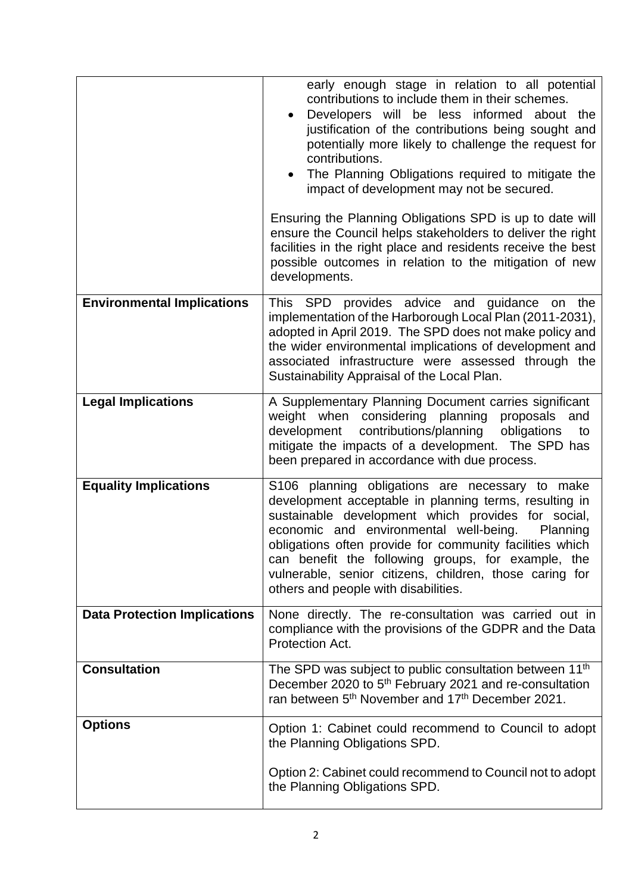|                                     | early enough stage in relation to all potential<br>contributions to include them in their schemes.<br>Developers will be less informed about the<br>justification of the contributions being sought and<br>potentially more likely to challenge the request for<br>contributions.<br>The Planning Obligations required to mitigate the<br>impact of development may not be secured.<br>Ensuring the Planning Obligations SPD is up to date will<br>ensure the Council helps stakeholders to deliver the right<br>facilities in the right place and residents receive the best<br>possible outcomes in relation to the mitigation of new<br>developments. |
|-------------------------------------|----------------------------------------------------------------------------------------------------------------------------------------------------------------------------------------------------------------------------------------------------------------------------------------------------------------------------------------------------------------------------------------------------------------------------------------------------------------------------------------------------------------------------------------------------------------------------------------------------------------------------------------------------------|
| <b>Environmental Implications</b>   | This SPD provides advice and guidance<br>the<br>on<br>implementation of the Harborough Local Plan (2011-2031),<br>adopted in April 2019. The SPD does not make policy and<br>the wider environmental implications of development and<br>associated infrastructure were assessed through the<br>Sustainability Appraisal of the Local Plan.                                                                                                                                                                                                                                                                                                               |
| <b>Legal Implications</b>           | A Supplementary Planning Document carries significant<br>weight when considering planning<br>proposals<br>and<br>contributions/planning<br>obligations<br>development<br>to<br>mitigate the impacts of a development. The SPD has<br>been prepared in accordance with due process.                                                                                                                                                                                                                                                                                                                                                                       |
| <b>Equality Implications</b>        | S106 planning obligations are necessary to make<br>development acceptable in planning terms, resulting in<br>sustainable development which provides for social,<br>economic and environmental well-being.<br>Planning<br>obligations often provide for community facilities which<br>can benefit the following groups, for example, the<br>vulnerable, senior citizens, children, those caring for<br>others and people with disabilities.                                                                                                                                                                                                               |
| <b>Data Protection Implications</b> | None directly. The re-consultation was carried out in<br>compliance with the provisions of the GDPR and the Data<br>Protection Act.                                                                                                                                                                                                                                                                                                                                                                                                                                                                                                                      |
| <b>Consultation</b>                 | The SPD was subject to public consultation between 11 <sup>th</sup><br>December 2020 to 5 <sup>th</sup> February 2021 and re-consultation<br>ran between 5 <sup>th</sup> November and 17 <sup>th</sup> December 2021.                                                                                                                                                                                                                                                                                                                                                                                                                                    |
| <b>Options</b>                      | Option 1: Cabinet could recommend to Council to adopt<br>the Planning Obligations SPD.<br>Option 2: Cabinet could recommend to Council not to adopt<br>the Planning Obligations SPD.                                                                                                                                                                                                                                                                                                                                                                                                                                                                     |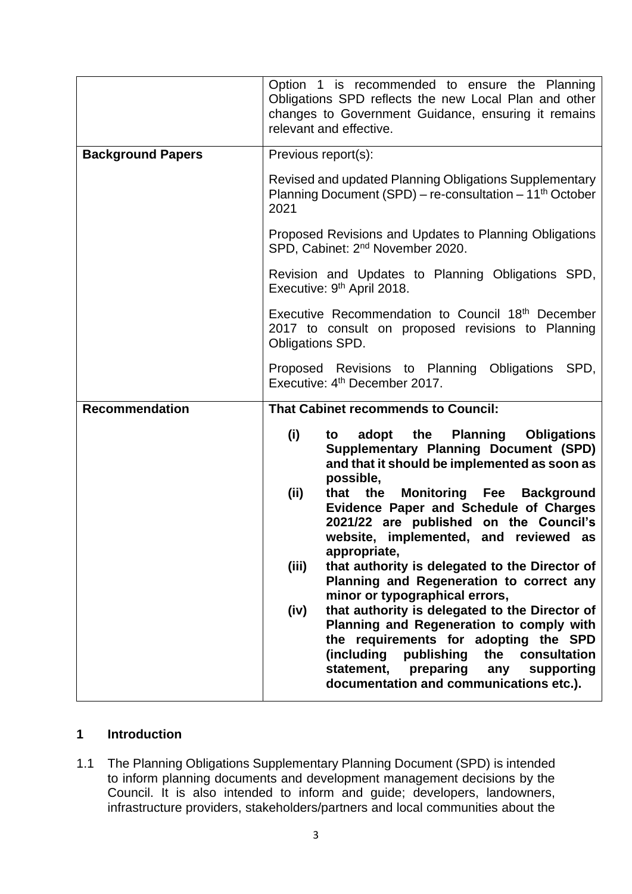|                          | Option 1 is recommended to ensure the Planning<br>Obligations SPD reflects the new Local Plan and other<br>changes to Government Guidance, ensuring it remains<br>relevant and effective.                                                                                                                                                                                                                                                                                                                                                                                                                                                                                                                                                                                                                        |
|--------------------------|------------------------------------------------------------------------------------------------------------------------------------------------------------------------------------------------------------------------------------------------------------------------------------------------------------------------------------------------------------------------------------------------------------------------------------------------------------------------------------------------------------------------------------------------------------------------------------------------------------------------------------------------------------------------------------------------------------------------------------------------------------------------------------------------------------------|
| <b>Background Papers</b> | Previous report(s):                                                                                                                                                                                                                                                                                                                                                                                                                                                                                                                                                                                                                                                                                                                                                                                              |
|                          | Revised and updated Planning Obligations Supplementary<br>Planning Document (SPD) - re-consultation - 11 <sup>th</sup> October<br>2021                                                                                                                                                                                                                                                                                                                                                                                                                                                                                                                                                                                                                                                                           |
|                          | Proposed Revisions and Updates to Planning Obligations<br>SPD, Cabinet: 2 <sup>nd</sup> November 2020.                                                                                                                                                                                                                                                                                                                                                                                                                                                                                                                                                                                                                                                                                                           |
|                          | Revision and Updates to Planning Obligations SPD,<br>Executive: 9 <sup>th</sup> April 2018.                                                                                                                                                                                                                                                                                                                                                                                                                                                                                                                                                                                                                                                                                                                      |
|                          | Executive Recommendation to Council 18th December<br>2017 to consult on proposed revisions to Planning<br>Obligations SPD.                                                                                                                                                                                                                                                                                                                                                                                                                                                                                                                                                                                                                                                                                       |
|                          | Proposed Revisions to Planning Obligations SPD,<br>Executive: 4 <sup>th</sup> December 2017.                                                                                                                                                                                                                                                                                                                                                                                                                                                                                                                                                                                                                                                                                                                     |
| <b>Recommendation</b>    | <b>That Cabinet recommends to Council:</b>                                                                                                                                                                                                                                                                                                                                                                                                                                                                                                                                                                                                                                                                                                                                                                       |
|                          | (i)<br>adopt the Planning<br><b>Obligations</b><br>to<br><b>Supplementary Planning Document (SPD)</b><br>and that it should be implemented as soon as<br>possible,<br>(ii)<br>the<br><b>Monitoring Fee Background</b><br>that<br>Evidence Paper and Schedule of Charges<br>2021/22 are published on the Council's<br>website, implemented, and reviewed as<br>appropriate,<br>(iii)<br>that authority is delegated to the Director of<br>Planning and Regeneration to correct any<br>minor or typographical errors,<br>that authority is delegated to the Director of<br>(iv)<br>Planning and Regeneration to comply with<br>the requirements for adopting the SPD<br>(including<br>publishing<br>the<br>consultation<br>statement,<br>preparing<br>supporting<br>any<br>documentation and communications etc.). |

### **1 Introduction**

1.1 The Planning Obligations Supplementary Planning Document (SPD) is intended to inform planning documents and development management decisions by the Council. It is also intended to inform and guide; developers, landowners, infrastructure providers, stakeholders/partners and local communities about the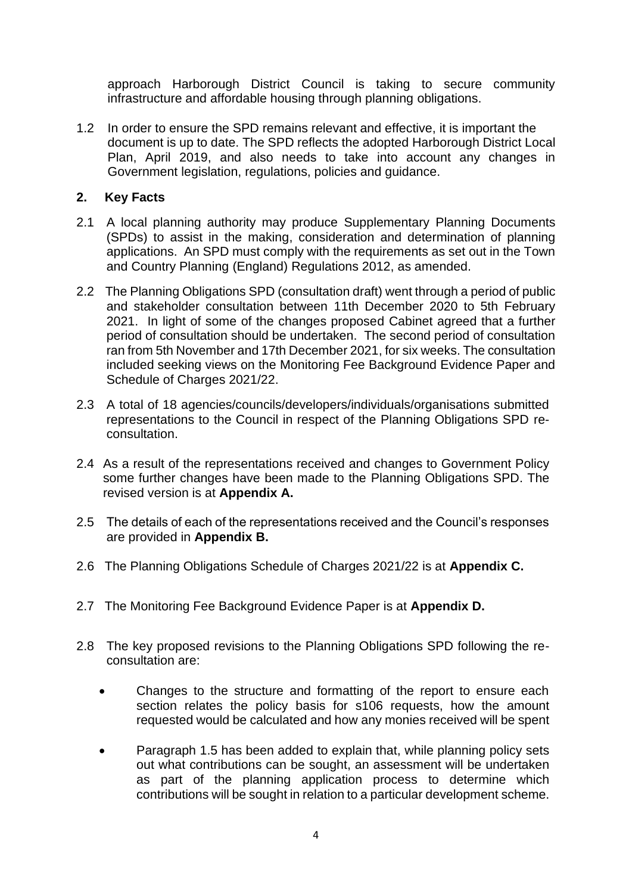approach Harborough District Council is taking to secure community infrastructure and affordable housing through planning obligations.

1.2 In order to ensure the SPD remains relevant and effective, it is important the document is up to date. The SPD reflects the adopted Harborough District Local Plan, April 2019, and also needs to take into account any changes in Government legislation, regulations, policies and guidance.

### **2. Key Facts**

- 2.1 A local planning authority may produce Supplementary Planning Documents (SPDs) to assist in the making, consideration and determination of planning applications. An SPD must comply with the requirements as set out in the Town and Country Planning (England) Regulations 2012, as amended.
- 2.2 The Planning Obligations SPD (consultation draft) went through a period of public and stakeholder consultation between 11th December 2020 to 5th February 2021. In light of some of the changes proposed Cabinet agreed that a further period of consultation should be undertaken. The second period of consultation ran from 5th November and 17th December 2021, for six weeks. The consultation included seeking views on the Monitoring Fee Background Evidence Paper and Schedule of Charges 2021/22.
- 2.3 A total of 18 agencies/councils/developers/individuals/organisations submitted representations to the Council in respect of the Planning Obligations SPD reconsultation.
- 2.4 As a result of the representations received and changes to Government Policy some further changes have been made to the Planning Obligations SPD. The revised version is at **Appendix A.**
- 2.5 The details of each of the representations received and the Council's responses are provided in **Appendix B.**
- 2.6 The Planning Obligations Schedule of Charges 2021/22 is at **Appendix C.**
- 2.7 The Monitoring Fee Background Evidence Paper is at **Appendix D.**
- 2.8 The key proposed revisions to the Planning Obligations SPD following the reconsultation are:
	- Changes to the structure and formatting of the report to ensure each section relates the policy basis for s106 requests, how the amount requested would be calculated and how any monies received will be spent
	- Paragraph 1.5 has been added to explain that, while planning policy sets out what contributions can be sought, an assessment will be undertaken as part of the planning application process to determine which contributions will be sought in relation to a particular development scheme.